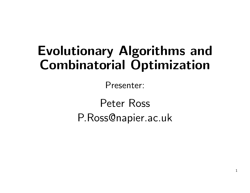# Evolutionary Algorithms and Combinatorial Optimization

Presenter:

Peter RossP.Ross@napier.ac.uk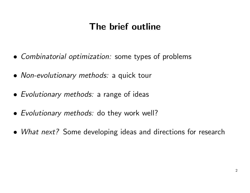# The brief outline

- Combinatorial optimization: some types of problems
- Non-evolutionary methods: <sup>a</sup> quick tour
- Evolutionary methods: <sup>a</sup> range of ideas
- Evolutionary methods: do they work well?
- What next? Some developing ideas and directions for research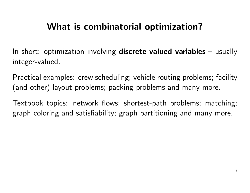# What is combinatorial optimization?

In short: optimization involving discrete-valued variables – usually integer-valued.

Practical examples: crew scheduling; vehicle routing problems; facility (and other) layout problems; packing problems and many more.

Textbook topics: network flows; shortest-path problems; matching; graph coloring and satisfiability; graph partitioning and many more.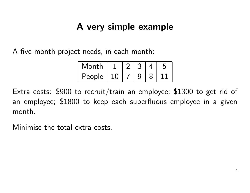# A very simple example

A five-month project needs, in each month:

| Month  |           |  |  |
|--------|-----------|--|--|
| People | <b>10</b> |  |  |

Extra costs: \$900 to recruit/train an employee; \$1300 to get rid of an employee; \$1800 to keep each superfluous employee in <sup>a</sup> <sup>g</sup>iven month.

Minimise the total extra costs.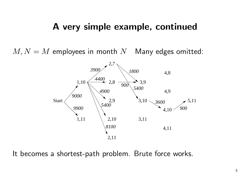#### A very simple example, continued

 $M, N = M$  employees in month N Many edges omitted:



It becomes a shortest-path problem. Brute force works.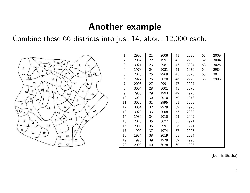#### Another example

Combine these 66 districts into just 14, about 12,000 each:



| 1  | 2992 | 21 | 2008 | 41 | 2020 | 61 | 2009 |
|----|------|----|------|----|------|----|------|
| 2  | 2032 | 22 | 1991 | 42 | 2983 | 62 | 3004 |
| 3  | 3021 | 23 | 2987 | 43 | 3004 | 63 | 3026 |
| 4  | 1973 | 24 | 2031 | 44 | 1970 | 64 | 2984 |
| 5  | 2020 | 25 | 2969 | 45 | 3023 | 65 | 3011 |
| 6  | 2977 | 26 | 3028 | 46 | 2973 | 66 | 2993 |
| 7  | 2003 | 27 | 2991 | 47 | 2024 |    |      |
| 8  | 3004 | 28 | 3001 | 48 | 5976 |    |      |
| 9  | 2985 | 29 | 1993 | 49 | 1975 |    |      |
| 10 | 3024 | 30 | 2010 | 50 | 1976 |    |      |
| 11 | 3032 | 31 | 2995 | 51 | 1969 |    |      |
| 12 | 3004 | 32 | 2979 | 52 | 2978 |    |      |
| 13 | 3020 | 33 | 2008 | 53 | 2030 |    |      |
| 14 | 1980 | 34 | 2010 | 54 | 2002 |    |      |
| 15 | 2026 | 35 | 3027 | 55 | 2971 |    |      |
| 16 | 2008 | 36 | 2991 | 56 | 1991 |    |      |
| 17 | 1990 | 37 | 1974 | 57 | 2997 |    |      |
| 18 | 1984 | 38 | 2019 | 58 | 2024 |    |      |
| 19 | 1978 | 39 | 1979 | 59 | 2990 |    |      |
| 20 | 2008 | 40 | 3028 | 60 | 1993 |    |      |

(Dennis Shasha)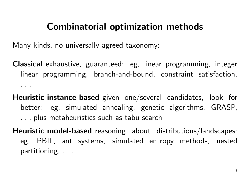### Combinatorial optimization methods

Many kinds, no universally agreed taxonomy:

Classical exhaustive, guaranteed: eg, linear programming, integer linear programming, branch-and-bound, constraint satisfaction, . . .

- ${\sf Heuristic}$  instance-based given one/several candidates, look for better: eg, simulated annealing, genetic algorithms, GRASP, . . . plus metaheuristics such as tabu search
- ${\sf Heuristic}$   ${\sf model\text{-}based}$  reasoning about distributions/landscapes: eg, PBIL, ant systems, simulated entropy methods, nested partitioning, ...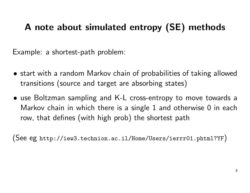# A note about simulated entropy (SE) methods

Example: <sup>a</sup> shortest-path problem:

- start with <sup>a</sup> random Markov chain of probabilities of taking allowed transitions (source and target are absorbing states)
- use Boltzman sampling and K-L cross-entropy to move towards <sup>a</sup> Markov chain in which there is <sup>a</sup> single 1 and otherwise 0 in each row, that defines (with high prob) the shortest path

(See eg http://iew3.technion.ac.il/Home/Users/ierrr01.phtml?YF)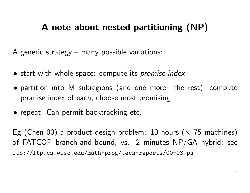# A note about nested partitioning (NP)

A generic strategy – many possible variations:

- start with whole space: compute its *promise index*
- partition into <sup>M</sup> subregions (and one more: the rest); compute promise index of each; choose most promising
- repeat. Can permit backtracking etc.

Eg (Chen 00) a product design problem: 10 hours ( $\times$  75 machines) of <code>FATCOP</code> branch-and-bound, vs.  $\,$  2 minutes <code>NP/GA</code> hybrid; see ftp://ftp.cs.wisc.edu/math-prog/tech-reports/00-03.ps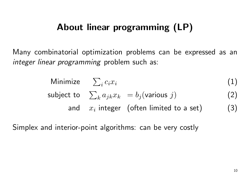# About linear programming (LP)

Many combinatorial optimization problems can be expressed as an integer linear programming problem such as:

Minimize 
$$
\sum_i c_i x_i
$$
 (1)  
subject to  $\sum_k a_{jk} x_k = b_j(\text{various } j)$  (2)  
and  $x_i$  integer (often limited to a set) (3)

Simplex and interior-point algorithms: can be very costly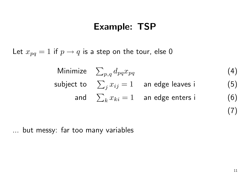### Example: TSP

Let  $x_{pq}=1$  if  $p\rightarrow q$  is a step on the tour, else  $0$ 

Minimize 
$$
\sum_{p,q} d_{pq} x_{pq}
$$
   
\nsubject to  $\sum_j x_{ij} = 1$  an edge leaves i (5)  
\nand  $\sum_k x_{ki} = 1$  an edge enters i (6)

... but messy: far too many variables

(7)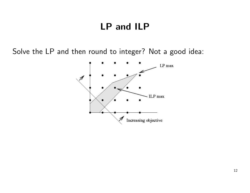# LP and ILP

Solve the LP and then round to integer? Not <sup>a</sup> good idea:

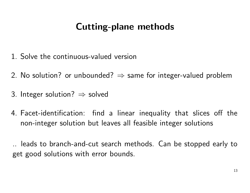# Cutting-plane methods

- 1. Solve the continuous-valued version
- 2. No solution? or unbounded?  $\Rightarrow$  same for integer-valued problem
- 3. Integer solution?  $\Rightarrow$  solved
- 4. Facet-identification: find <sup>a</sup> linear inequality that slices off the non-integer solution but leaves all feasible integer solutions

.. leads to branch-and-cut search methods. Can be stopped early to get good solutions with error bounds.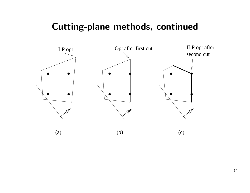#### Cutting-plane methods, continued

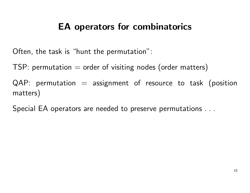# EA operators for combinatorics

Often, the task is "hunt the permutation":

 $TSP:$  permutation  $=$  order of visiting nodes (order matters)

 $QAP:$  permutation  $=$  assignment of resource to task (position matters)

Special EA operators are needed to preserve permutations . . .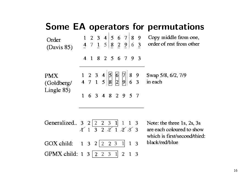#### Some EA operators for permutations

| Order<br>(Davis 85) |  |  |  | $\begin{array}{cccc c} 1 & 2 & 3 & 4 & 5 & 6 & 7 & 8 & 9 \\ \hline 4 & 7 & 1 & 5 & 8 & 2 & 9 & 6 & 3 \\ \end{array}$ |  | Copy middle from one,<br>order of rest from other |
|---------------------|--|--|--|----------------------------------------------------------------------------------------------------------------------|--|---------------------------------------------------|
|                     |  |  |  | 4 1 8 2 5 6 7 9 3                                                                                                    |  |                                                   |
| PMX<br>(Goldberg/   |  |  |  | $\begin{array}{ c c c c c c }\n1 & 2 & 3 & 4 & 5 & 6 & 7 & 8 & 9 \\ 4 & 7 & 1 & 5 & 8 & 2 & 9 & 6 & 3\n\end{array}$  |  | Swap 5/8, 6/2, 7/9<br>in each                     |
| Lingle $85$ )       |  |  |  | 6 3 4 8 2 9 5 7                                                                                                      |  |                                                   |
| Generalized         |  |  |  |                                                                                                                      |  | Note: the three 1s 2s 3s                          |

meralized.. 3 2  $\boxed{2 \ 2 \ 3 \ 1}$  1 1 3 Note: the three 1s, 2s, 3s<br>  $\begin{array}{ccc} \mathcal{X} & 1 & 3 & 2 & \mathcal{Z} & 1 & \mathcal{Z} & \mathcal{Z} & 3 \\ 1 & 3 & 2 & \mathcal{Z} & 1 & \mathcal{Z} & \mathcal{Z} & 3 \end{array}$  are each coloured to show

GOX child:  $1 \ 3 \ 2 \ 2 \ 2 \ 3 \ 1 \ 1 \ 3$ GPMX child: 1 3 2 2 3 1 2 1 3

are each coloured to show which is first/second/third: black/red/blue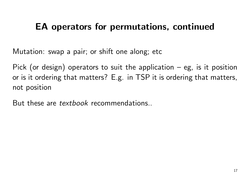# EA operators for permutations, continued

Mutation: swap <sup>a</sup> pair; or shift one along; etc

Pick (or design) operators to suit the application – eg, is it position or is it ordering that matters? E.g. in TSP it is ordering that matters, not position

But these are *textbook* recommendations..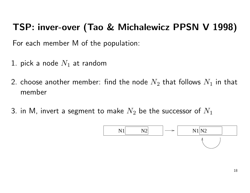# TSP: inver-over (Tao & Michalewicz PPSN <sup>V</sup> 1998)

For each member M of the population:

- 1. pick a node  $N_1$  at random
- 2. choose another member: find the node  $N_2$  that follows  $N_1$  in that member
- 3. in M, invert a segment to make  $N_2$  be the successor of  $N_1$

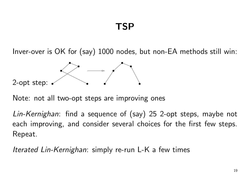Inver-over is OK for (say) <sup>1000</sup> nodes, but non-EA methods still win:



Note: not all two-opt steps are improving ones

Lin-Kernighan: find <sup>a</sup> sequence of (say) <sup>25</sup> 2-opt steps, maybe not each improving, and consider several choices for the first few steps. Repeat.

*Iterated Lin-Kernighan*: simply re-run L-K a few times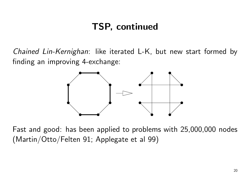# TSP, continued

Chained Lin-Kernighan: like iterated L-K, but new start formed by finding an improving 4-exchange:



Fast and good: has been applied to problems with 25,000,000 nodes (Martin/Otto/Felten 91; Applegate et al 99)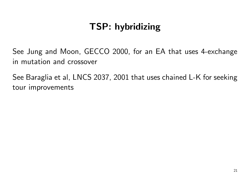# TSP: hybridizing

See Jung and Moon, GECCO 2000, for an EA that uses 4-exchange in mutation and crossover

See Baraglia et al, LNCS 2037, 2001 that uses chained L-K for seeking tour improvements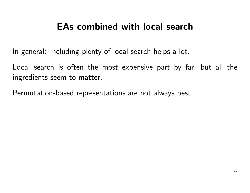# EAs combined with local search

In general: including plenty of local search helps <sup>a</sup> lot.

Local search is often the most expensive part by far, but all the ingredients seem to matter.

Permutation-based representations are not always best.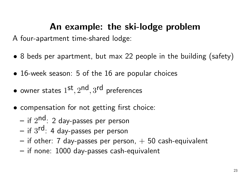### An example: the ski-lodge problem

A four-apartment time-shared lodge:

- <sup>8</sup> beds per apartment, but max <sup>22</sup> people in the building (safety)
- 16-week season: 5 of the 16 are popular choices
- owner states  $1^\mathsf{st}, 2^\mathsf{nd}, 3^\mathsf{rd}$  preferences
- compensation for not getting first choice:
	- – $-$  if  $2^{\mathsf{nd}}$ : 2 day-passes per person
	- –— if  $3^{\mathsf{rd}}$ : 4 day-passes per person
	- – $\overline{\phantom{a}}$  if other: 7 day-passes per person,  $+$  50 cash-equivalent
	- –if none: 1000 day-passes cash-equivalent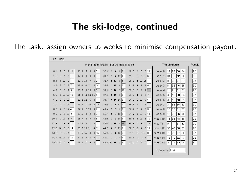#### The ski-lodge, continued

The task: assign owners to weeks to minimise compensation payout:

| File      | Help                                       |                                               |                                      |                                               |                                  |                                                                                    |
|-----------|--------------------------------------------|-----------------------------------------------|--------------------------------------|-----------------------------------------------|----------------------------------|------------------------------------------------------------------------------------|
|           |                                            | /home/peter/src/ski-lodge/problem-10.txt      | The schedule                         | People                                        |                                  |                                                                                    |
| 0:4       | $\overline{2}$<br>Ū<br>11 11               | 16:8<br>6<br>8<br>8<br>$\overline{4}$         | $\mathfrak{Z}$<br>32:6<br>Ū<br>8 8   | 48:8<br>14 10<br>6 10                         | 27<br>17<br> 38 <br>week 0:      | 22<br>44                                                                           |
| 1:5       | 6 4<br>0<br>4                              | lo.<br>17:3<br>8<br>2<br>Ū.                   | $3 \t14 \t1$<br>$\mathbf{1}$<br>33:4 | 6156<br>49:3<br>$\mathbf{0}$                  | 33<br>31<br>42<br>week 1:        | $\boxed{21}$<br>50                                                                 |
| 2:4       | 5 4<br>4 15                                | 6 9<br>18:6<br>13<br>9                        | 911<br>5 5<br>34:4                   | 50:5<br>1 10 14                               | 24<br>week 2:<br>37<br>19        | 22<br>41                                                                           |
| 3:3       | $9 \vert 7$<br>3<br>7                      | 7 14<br>19:4<br>14 11                         | 315<br>35:5<br>6 3                   | 8148<br>51:3<br>$\mathbf{1}$                  | 35<br>$\vert$ 6<br>46<br>week 3: | 56                                                                                 |
| 4:7       | 11 5<br>$\overline{5}$<br>$\mathbf{0}$     | 3 15<br>5 5<br>20:7                           | 310<br>36:6<br>5 10                  | 52:8<br>9 11<br>$\mathbf{0}$<br>$\mathbf{1}$  | $\overline{c}$<br>l8<br>week 4:  | $\begin{array}{ c c }\n\hline\n\text{22} \\ \hline\n\text{22}\n\end{array}$<br> 21 |
| 5:3       | $\vert$ 15<br>15 10<br>6                   | 4 14 15 4<br>21:8                             | Iz.<br>$2-10$<br>37:3<br>9           | 17<br>53:6<br>6<br>7<br>$\mathbf{1}$          | 10<br>20<br>week 5:<br>14        | 34                                                                                 |
| 6:3       | 5103<br>3                                  | - 5<br>14<br>22:4<br>14<br>$\lceil 3 \rceil$  | 38:7<br>$0$ 10 14 0                  | 54:5<br>610<br>98                             | 45<br>week 6:<br>39<br>49        | 22<br>22<br>22<br>22<br><b>54</b>                                                  |
| 7:4       | 7 13 13<br>$\overline{4}$                  | 23:5<br>$1\;14\;13\; 13$                      | 39:8<br>6126<br>$\mathbf{1}$         | 55:8<br>$\overline{2}$<br>$\mathbf 0$<br>7 7  | 53<br>week 7:<br>lз              | 55 62                                                                              |
| 8:5       | 5144<br>$\overline{4}$                     | 912<br>24:5<br>210                            | 3<br>40:4<br>9<br>6 9                | 8 3<br>56:7<br>314                            | 16 32<br>week 8:<br> 51          | 61                                                                                 |
| 9:7       | $\boldsymbol{6}$<br>13 2<br>$\overline{2}$ | 89<br>25:5<br>3<br>9                          | $\overline{2}$<br>$415$ 2<br>41:7    | 57:7<br>413<br>9<br>13                        | 18 25<br>week 9:<br>26           | 40                                                                                 |
| 10:4      | 5 5<br>014                                 | 5 9<br>26:7<br>3<br>$\overline{9}$            | 2 10  1<br>42:6<br>$\mathbf{1}$      | 312<br>6 12<br>58:8                           | 15 36<br>week 10:<br>48          | 22<br>22<br>22<br>22<br>22<br>59                                                   |
| 11:8      | 6 15<br>015                                | $\overline{0}$<br>27:7<br>$\mathbf{1}$<br>9 0 | 43:4<br>215<br>8 12                  | 59:5<br>0151010                               | week 11:<br>14<br>28<br>Iо       | 52                                                                                 |
|           | 12:8 14 10 13 14                           | 28:7<br>1011<br>11<br>4 <sup>1</sup>          | 44:5<br>$\mathbf 0$<br>9110          | 6 13<br>60:6<br>13 14                         | 43<br>week 12:<br>30             | 58 63                                                                              |
| 13:5      | $3$ 15 14 15                               | 8 15<br>29:6<br>15<br>$\mathbf{0}$            | 45:6<br>6156<br>$\overline{4}$       | 6128<br>61:5<br>8                             | 23<br>week 13:<br>57<br>7        | 60                                                                                 |
|           | $14:3$ 11 14<br>4 11                       | 3 15 12 12<br>30:4                            | 3<br>2 3<br>46:7<br>$\mathbf{1}$     | 7 7<br>62:5<br>$\overline{2}$<br>$\mathbf{g}$ | 12 19 <br>week 14:<br>22         | 47                                                                                 |
| $15:3$ 10 | 9 10<br>7                                  | 31:6<br>9<br>6                                | 47:6 14 10<br>7 14                   | 8 12<br>63:6<br>012                           | week 15:<br>15<br>111            | $\overline{z}$<br> 13 29                                                           |
|           |                                            |                                               |                                      |                                               | Total cost: 684                  |                                                                                    |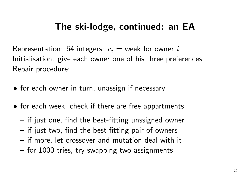# The ski-lodge, continued: an EA

Representation: 64 integers:  $c_i$  = week for owner i Initialisation: give each owner one of his three preferences Repair procedure:

- for each owner in turn, unassign if necessary
- for each week, check if there are free appartments:
	- – $-$  if just one, find the best-fitting unssigned owner
	- – $-$  if just two, find the best-fitting pair of owners
	- – $\overline{\phantom{\bullet}}$  if more, let crossover and mutation deal with it
	- – $-$  for  $1000$  tries, try swapping two assignments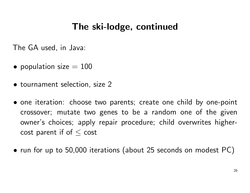#### The ski-lodge, continued

The GA used, in Java:

- $\bullet\,$  population size  $=100$
- tournament selection, size 2
- one iteration: choose two parents; create one child by one-point crossover; mutate two genes to be <sup>a</sup> random one of the given owner's choices; apply repair procedure; child overwrites highercost parent if of  $\leq$  cost
- run for up to 50,000 iterations (about <sup>25</sup> seconds on modest PC)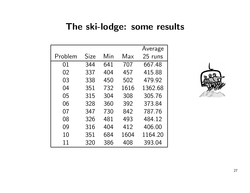#### The ski-lodge: some results

|         |      |     |      | Average |
|---------|------|-----|------|---------|
| Problem | Size | Min | Max  | 25 runs |
| 01      | 344  | 641 | 707  | 667.48  |
| 02      | 337  | 404 | 457  | 415.88  |
| 03      | 338  | 450 | 502  | 479.92  |
| 04      | 351  | 732 | 1616 | 1362 68 |
| 05      | 315  | 304 | 308  | 305.76  |
| 06      | 328  | 360 | 392  | 373.84  |
| 07      | 347  | 730 | 842  | 787.76  |
| 08      | 326  | 481 | 493  | 484.12  |
| 09      | 316  | 404 | 412  | 406.00  |
| 10      | 351  | 684 | 1604 | 1164.20 |
| 11      | 320  | 386 | 408  | 393.04  |

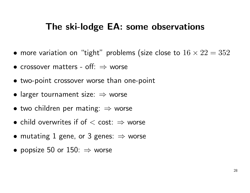#### The ski-lodge EA: some observations

- $\bullet$  more variation on "tight" problems (size close to  $16 \times 22 = 352$
- crossover matters off:  $\Rightarrow$  worse
- two-point crossover worse than one-point
- $\bullet$  larger tournament size:  $\Rightarrow$  worse
- $\bullet$  two children per mating:  $\Rightarrow$  worse
- child overwrites if of  $<$  cost:  $\Rightarrow$  worse
- $\bullet$  mutating  $1$  gene, or  $3$  genes:  $\Rightarrow$  worse
- $\bullet\,$  popsize  $50$  or  $150\colon\Rightarrow$  worse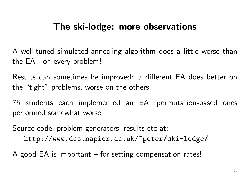### The ski-lodge: more observations

A well-tuned simulated-annealing algorithm does <sup>a</sup> little worse than the EA - on every problem!

Results can sometimes be improved: <sup>a</sup> different EA does better on the "tight" problems, worse on the others

75 students each implemented an EA: permutation-based ones performed somewhat worse

Source code, problem generators, results etc at: http://www.dcs.napier.ac.uk/~peter/ski-lodge/

A good EA is important – for setting compensation rates!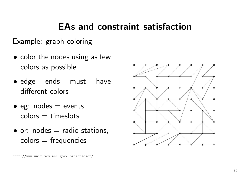# EAs and constraint satisfaction

Example: graph coloring

- color the nodes using as few colors as possible
- edge ends must have different colors
- $\bullet$  eg: nodes  $=$  events,  $\mathsf{colors} = \mathsf{times}$ lots
- $\bullet$  or: nodes  $=$  radio stations,  $\mathsf{colors} = \mathsf{frequency}$

http://www-unix.mcs.anl.gov/~benson/dsdp/

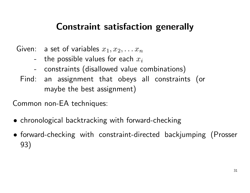# Constraint satisfaction generally

- Given: a set of variables  $x_1, x_2, \ldots x_n$ 
	- $\;$  the possible values for each  $x_i$
	- constraints (disallowed value combinations)
	- Find: an assignment that obeys all constraints (or maybe the best assignment)

Common non-EA techniques:

- chronological backtracking with forward-checking
- forward-checking with constraint-directed backjumping (Prosser 93)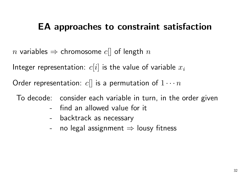# EA approaches to constraint satisfaction

 $n$  variables  $\Rightarrow$  chromosome  $c[]$  of length  $n$ 

Integer representation:  $c[i]$  is the value of variable  $x_i$ 

Order representation:  $c[]$  is a permutation of  $1 \cdots n$ 

To decode: consider each variable in turn, in the order given

- find an allowed value for it
- backtrack as necessary
- $\,$  no legal assignment  $\Rightarrow$  lousy fitness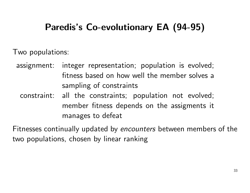# Paredis's Co-evolutionary EA (94-95)

Two populations:

assignment: integer representation; population is evolved; fitness based on how well the member solves <sup>a</sup> sampling of constraints

constraint: all the constraints; population not evolved; member fitness depends on the assigments it manages to defeat

Fitnesses continually updated by encounters between members of the two populations, chosen by linear ranking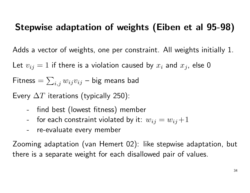# Stepwise adaptation of weights (Eiben et al 95-98)

Adds a vector of weights, one per constraint. All weights initially 1.

Let  $v_{ij} = 1$  if there is a violation caused by  $x_i$  and  $x_j$ , else  ${\bf 0}$ 

 ${\sf Fitness}=$  $=\sum_{i,j} w_{ij}v_{ij}$  – big means bad

Every  $\Delta T$  iterations (typically 250):

- find best (lowest fitness) member
- --  $\;$  for each constraint violated by it:  $w_{ij} = w_{ij} \! + \! 1$
- re-evaluate every member

Zooming adaptation (van Hemert 02): like stepwise adaptation, but there is <sup>a</sup> separate weight for each disallowed pair of values.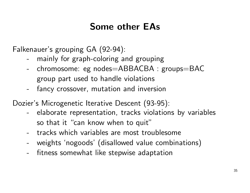# Some other EAs

Falkenauer's grouping GA (92-94):

- mainly for graph-coloring and grouping
- chromosome: eg nodes=ABBACBA : groups=BAC group part used to handle violations
- fancy crossover, mutation and inversion

Dozier's Microgenetic Iterative Descent (93-95):

- elaborate representation, tracks violations by variables so that it "can know when to quit"
- tracks which variables are most troublesome
- weights 'nogoods' (disallowed value combinations)
- fitness somewhat like stepwise adaptation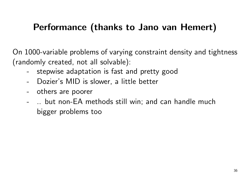# Performance (thanks to Jano van Hemert)

On 1000-variable problems of varying constraint density and tightness (randomly created, not all solvable):

- stepwise adaptation is fast and pretty good
- Dozier's MID is slower, <sup>a</sup> little better
- -- others are poorer
- .. but non-EA methods still win; and can handle much bigger problems too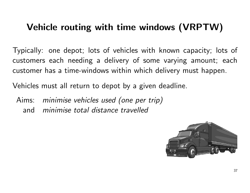# Vehicle routing with time windows (VRPTW)

Typically: one depot; lots of vehicles with known capacity; lots of customers each needing <sup>a</sup> delivery of some varying amount; each customer has a time-windows within which delivery must happen.

Vehicles must all return to depot by <sup>a</sup> given deadline.

Aims: minimise vehicles used (one per trip) andminimise total distance travelled

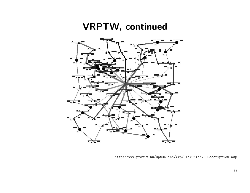#### VRPTW, continued



http://www.pratix.hu/OptOnline/Vrp/FlexGrid/VRPDescription.asp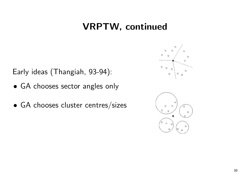# VRPTW, continued

Early ideas (Thangiah, 93-94):

- GA chooses sector angles only
- GA chooses cluster centres/sizes



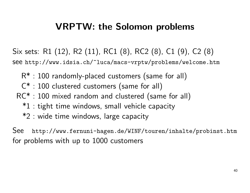#### VRPTW: the Solomon problems

- Six sets: R1 (12), R2 (11), RC1 (8), RC2 (8), C1 (9), C2 (8) see http://www.idsia.ch/~luca/macs-vrptw/problems/welcome.htm
	- $\mathsf{R}^{*}:100$  randomly-placed customers (same for all)
	- C<sup>\*</sup> : 100 clustered customers (same for all)
	- RC\* : 100 mixed random and clustered (same for all)
		- \*1 : tight time windows, small vehicle capacity
		- \*2 : wide time windows, large capacity

See http://www.fernuni-hagen.de/WINF/touren/inhalte/probinst.htm for problems with up to 1000 customers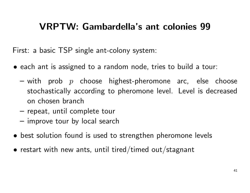# VRPTW: Gambardella's ant colonies 99

First: a basic TSP single ant-colony system:

- each ant is assigned to <sup>a</sup> random node, tries to build <sup>a</sup> tour:
	- –— with prob  $\,p\,$  choose highest-pheromone arc, else choose stochastically according to pheromone level. Level is decreased on chosen branch
	- – $\hspace{0.1mm}-$  repeat, until complete tour
	- – $-$  improve tour by local search
- best solution found is used to strengthen pheromone levels
- $\bullet$  restart with new ants, until tired/timed out/stagnant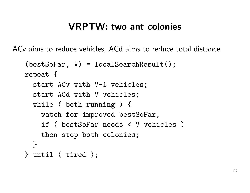#### VRPTW: two ant colonies

ACv aims to reduce vehicles, ACd aims to reduce total distance

```
(bestSofar, V) = localSearchResult();
repeat {
  start ACv with V-1 vehicles;
  start ACd with V vehicles;
  while ( both running ) {
    watch for improved bestSoFar;
    if ( bestSoFar needs < V vehicles )
    then stop both colonies;
  }
} until ( tired );
```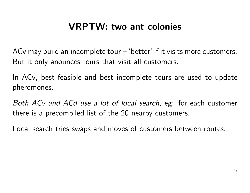# VRPTW: two ant colonies

ACv may build an incomplete tour – 'better' if it visits more customers. But it only anounces tours that visit all customers.

In ACv, best feasible and best incomplete tours are used to update pheromones.

Both ACv and ACd use <sup>a</sup> lot of local search, eg: for each customer there is <sup>a</sup> precompiled list of the 20 nearby customers.

Local search tries swaps and moves of customers between routes.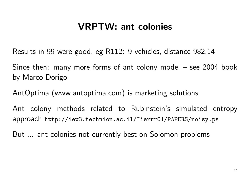### VRPTW: ant colonies

Results in 99 were good, eg R112: 9 vehicles, distance 982.14

Since then: many more forms of ant colony model – see 2004 book by Marco Dorigo

AntOptima (www.antoptima.com) is marketing solutions

Ant colony methods related to Rubinstein's simulated entropy approach http://iew3.technion.ac.il/~ierrr01/PAPERS/noisy.ps

But ... ant colonies not currently best on Solomon problems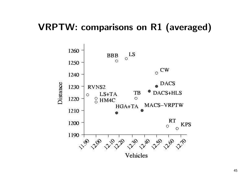#### VRPTW: comparisons on R1 (averaged)



45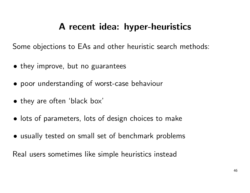# A recent idea: hyper-heuristics

Some objections to EAs and other heuristic search methods:

- they improve, but no guarantees
- poor understanding of worst-case behaviour
- they are often 'black box'
- lots of parameters, lots of design choices to make
- usually tested on small set of benchmark problems

Real users sometimes like simple heuristics instead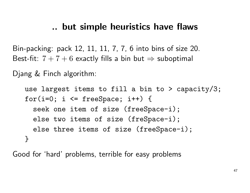#### .. but simple heuristics have flaws

Bin-packing: pack 12, 11, 11, 7, 7, 6 into bins of size 20. Best-fit:  $7+7+6$  exactly fills a bin but  $\Rightarrow$  suboptimal

Djang & Finch algorithm:

use largest items to fill <sup>a</sup> bin to <sup>&</sup>gt; capacity/3; for(i=0; i  $\le$  freeSpace; i++) { seek one item of size (freeSpace-i); else two items of size (freSpace-i); else three items of size (freeSpace-i); }

Good for 'hard' problems, terrible for easy problems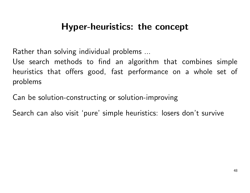# Hyper-heuristics: the concept

Rather than solving individual problems ...

Use search methods to find an algorithm that combines simple heuristics that offers good, fast performance on <sup>a</sup> whole set of problems

Can be solution-constructing or solution-improving

Search can also visit 'pure' simple heuristics: losers don't survive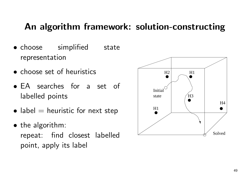### An algorithm framework: solution-constructing

- choose simplified state representation
- choose set of heuristics
- EA searches for <sup>a</sup> set of labelled points
- $\bullet$  label  $=$  heuristic for next step
- the algorithm: repeat: find closest labelled point, apply its label

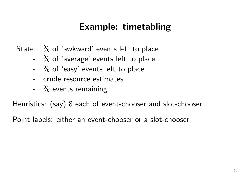# Example: timetabling

State: % of 'awkward' events left to place

- $\%$  of 'average' events left to place
- $\%$  of 'easy' events left to place
- crude resource estimates
- $\%$  events remaining

Heuristics: (say) <sup>8</sup> each of event-chooser and slot-chooser

Point labels: either an event-chooser or <sup>a</sup> slot-chooser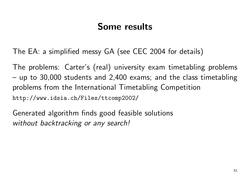# Some results

The EA: <sup>a</sup> simplified messy GA (see CEC <sup>2004</sup> for details)

The problems: Carter's (real) university exam timetabling problems  $-$  up to 30,000 students and 2,400 exams; and the class timetabling problems from the International Timetabling Competition http://www.idsia.ch/Files/ttcomp2002/

Generated algorithm finds good feasible solutions without backtracking or any search!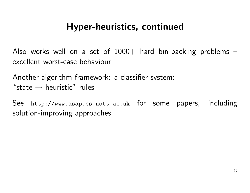### Hyper-heuristics, continued

Also works well on a set of  $1000+$  hard bin-packing problems  $$ excellent worst-case behaviour

Another algorithm framework: <sup>a</sup> classifier system: "state  $\rightarrow$  heuristic" rules

See http://www.asap.cs.nott.ac.uk for some papers, including solution-improving approaches